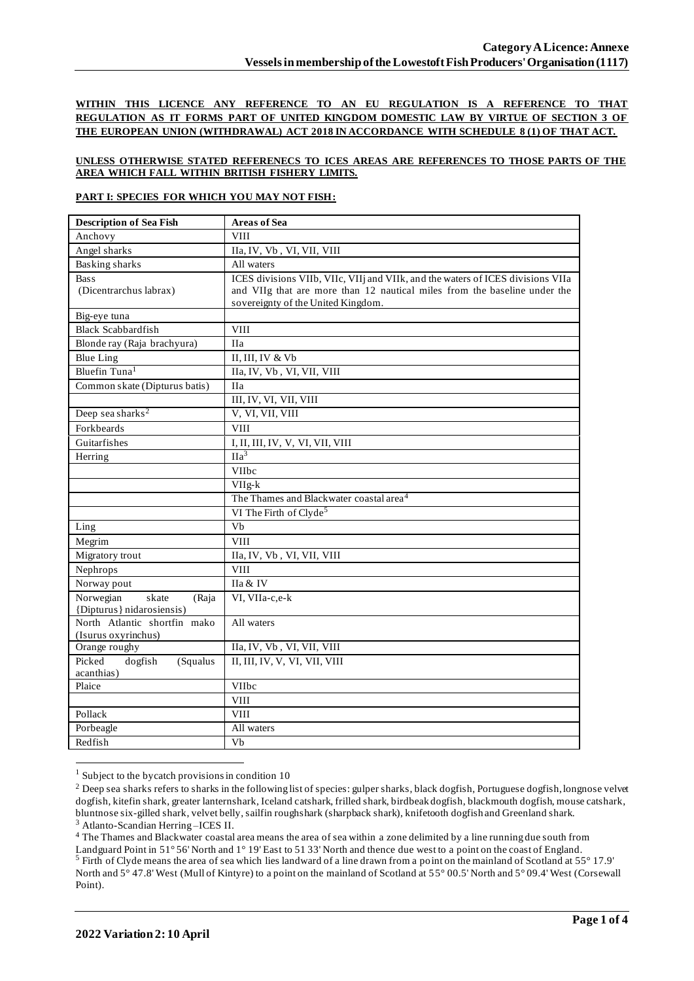**WITHIN THIS LICENCE ANY REFERENCE TO AN EU REGULATION IS A REFERENCE TO THAT REGULATION AS IT FORMS PART OF UNITED KINGDOM DOMESTIC LAW BY VIRTUE OF SECTION 3 OF THE EUROPEAN UNION (WITHDRAWAL) ACT 2018 IN ACCORDANCE WITH SCHEDULE 8 (1) OF THAT ACT.**

## **UNLESS OTHERWISE STATED REFERENECS TO ICES AREAS ARE REFERENCES TO THOSE PARTS OF THE AREA WHICH FALL WITHIN BRITISH FISHERY LIMITS.**

## **PART I: SPECIES FOR WHICH YOU MAY NOT FISH:**

| <b>Description of Sea Fish</b>                           | <b>Areas of Sea</b>                                                             |
|----------------------------------------------------------|---------------------------------------------------------------------------------|
| Anchovy                                                  | <b>VIII</b>                                                                     |
| Angel sharks                                             | IIa, IV, Vb, VI, VII, VIII                                                      |
| Basking sharks                                           | All waters                                                                      |
| <b>Bass</b>                                              | ICES divisions VIIb, VIIc, VIIj and VIIk, and the waters of ICES divisions VIIa |
| (Dicentrarchus labrax)                                   | and VIIg that are more than 12 nautical miles from the baseline under the       |
|                                                          | sovereignty of the United Kingdom.                                              |
| Big-eye tuna                                             |                                                                                 |
| <b>Black Scabbardfish</b>                                | <b>VIII</b>                                                                     |
| Blonde ray (Raja brachyura)                              | <b>IIa</b>                                                                      |
| <b>Blue Ling</b>                                         | II, III, IV & Vb                                                                |
| Bluefin Tuna <sup>1</sup>                                | IIa, IV, Vb, VI, VII, VIII                                                      |
| Common skate (Dipturus batis)                            | <b>IIa</b>                                                                      |
|                                                          | III, IV, VI, VII, VIII                                                          |
| Deep sea sharks <sup>2</sup>                             | V, VI, VII, VIII                                                                |
| Forkbeards                                               | <b>VIII</b>                                                                     |
| Guitarfishes                                             | I, II, III, IV, V, VI, VII, VIII                                                |
| Herring                                                  | IIa <sup>3</sup>                                                                |
|                                                          | <b>VIIbc</b>                                                                    |
|                                                          | $VIIg-k$                                                                        |
|                                                          | The Thames and Blackwater coastal area <sup>4</sup>                             |
|                                                          | VI The Firth of Clyde <sup>5</sup>                                              |
| Ling                                                     | Vb                                                                              |
| Megrim                                                   | <b>VIII</b>                                                                     |
| Migratory trout                                          | IIa, IV, Vb, VI, VII, VIII                                                      |
| Nephrops                                                 | <b>VIII</b>                                                                     |
| Norway pout                                              | IIa & IV                                                                        |
| Norwegian<br>skate<br>(Raja<br>{Dipturus} nidarosiensis) | VI, VIIa-c,e-k                                                                  |
| North Atlantic shortfin mako                             | All waters                                                                      |
| (Isurus oxyrinchus)                                      |                                                                                 |
| Orange roughy                                            | IIa, IV, Vb, VI, VII, VIII                                                      |
| Picked<br>dogfish<br>(Squalus                            | II, III, IV, V, VI, VII, VIII                                                   |
| acanthias)                                               |                                                                                 |
| Plaice                                                   | VIIbc                                                                           |
|                                                          | <b>VIII</b>                                                                     |
| Pollack                                                  | <b>VIII</b>                                                                     |
| Porbeagle                                                | All waters                                                                      |
| Redfish                                                  | Vb                                                                              |

 $1$  Subject to the bycatch provisions in condition 10

<sup>3</sup> Atlanto-Scandian Herring –ICES II.

<sup>4</sup> The Thames and Blackwater coastal area means the area of sea within a zone delimited by a line running due south from Landguard Point in 51° 56' North and 1° 19' East to 51 33' North and thence due west to a point on the coast of England. <sup>5</sup> Firth of Clyde means the area of sea which lies landward of a line drawn from a point on the mainland of Scotland at 55° 17.9' North and 5° 47.8' West (Mull of Kintyre) to a point on the mainland of Scotland at 55° 00.5' North and 5° 09.4' West (Corsewall Point).

<sup>&</sup>lt;sup>2</sup> Deep sea sharks refers to sharks in the following list of species: gulper sharks, black dogfish, Portuguese dogfish, longnose velvet dogfish, kitefin shark, greater lanternshark, Iceland catshark, frilled shark, birdbeak dogfish, blackmouth dogfish, mouse catshark, bluntnose six-gilled shark, velvet belly, sailfin roughshark (sharpback shark), knifetooth dogfish and Greenland shark.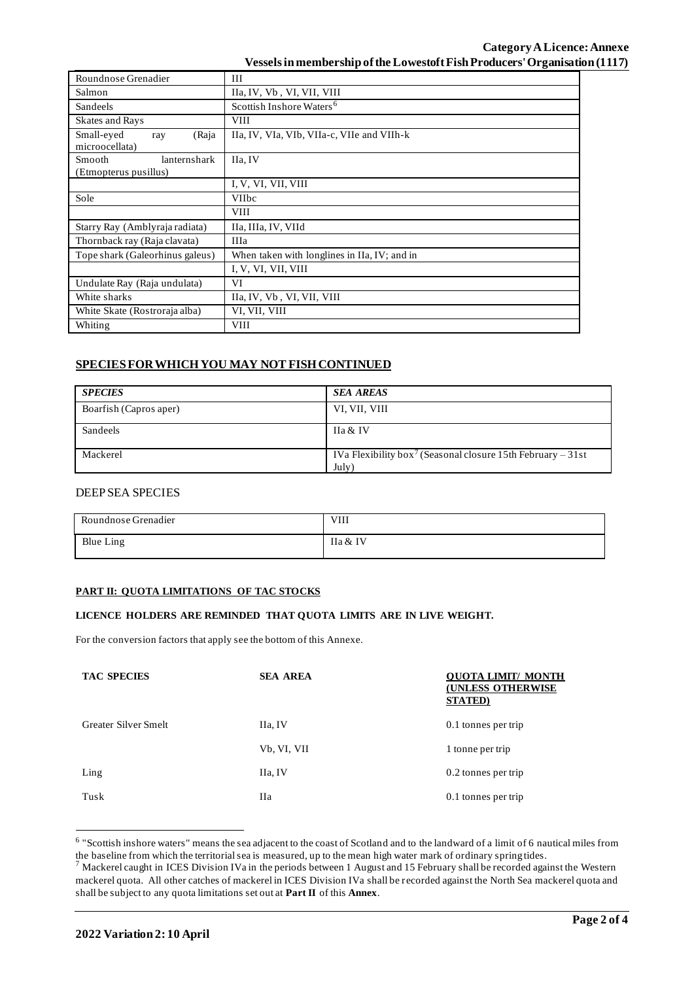## **Category ALicence: Annexe Vessels in membership of the Lowestoft Fish Producers' Organisation (1117)**

| Roundnose Grenadier                             | III                                          |  |  |  |  |
|-------------------------------------------------|----------------------------------------------|--|--|--|--|
| Salmon                                          | IIa, IV, Vb, VI, VII, VIII                   |  |  |  |  |
| <b>Sandeels</b>                                 | Scottish Inshore Waters <sup>6</sup>         |  |  |  |  |
| Skates and Rays                                 | <b>VIII</b>                                  |  |  |  |  |
| Small-eyed<br>(Raja<br>ray<br>microocellata)    | IIa, IV, VIa, VIb, VIIa-c, VIIe and VIIh-k   |  |  |  |  |
| Smooth<br>lanternshark<br>(Etmopterus pusillus) | IIa, IV                                      |  |  |  |  |
|                                                 | I, V, VI, VII, VIII                          |  |  |  |  |
| Sole                                            | <b>VIIbc</b>                                 |  |  |  |  |
|                                                 | <b>VIII</b>                                  |  |  |  |  |
| Starry Ray (Amblyraja radiata)                  | IIa, IIIa, IV, VIId                          |  |  |  |  |
| Thornback ray (Raja clavata)                    | <b>IIIa</b>                                  |  |  |  |  |
| Tope shark (Galeorhinus galeus)                 | When taken with longlines in IIa, IV; and in |  |  |  |  |
|                                                 | I, V, VI, VII, VIII                          |  |  |  |  |
| Undulate Ray (Raja undulata)                    | VI                                           |  |  |  |  |
| White sharks                                    | IIa, IV, Vb, VI, VII, VIII                   |  |  |  |  |
| White Skate (Rostroraja alba)                   | VI, VII, VIII                                |  |  |  |  |
| Whiting                                         | VIII                                         |  |  |  |  |

# **SPECIES FOR WHICH YOU MAY NOT FISH CONTINUED**

| <b>SPECIES</b>         | <b>SEA AREAS</b>                                                                 |
|------------------------|----------------------------------------------------------------------------------|
| Boarfish (Capros aper) | VI, VII, VIII                                                                    |
| Sandeels               | IIa & IV                                                                         |
| Mackerel               | IVa Flexibility box <sup>7</sup> (Seasonal closure 15th February – 31st<br>July) |

# DEEP SEA SPECIES

| Roundnose Grenadier | <b>VIII</b> |
|---------------------|-------------|
| <b>Blue Ling</b>    | IIa & IV    |

## **PART II: QUOTA LIMITATIONS OF TAC STOCKS**

### **LICENCE HOLDERS ARE REMINDED THAT QUOTA LIMITS ARE IN LIVE WEIGHT.**

For the conversion factors that apply see the bottom of this Annexe.

| <b>TAC SPECIES</b>   | <b>SEA AREA</b> | <b>OUOTA LIMIT/ MONTH</b><br><b>(UNLESS OTHERWISE</b><br><b>STATED</b> ) |
|----------------------|-----------------|--------------------------------------------------------------------------|
| Greater Silver Smelt | IIa, IV         | 0.1 tonnes per trip                                                      |
|                      | Vb, VI, VII     | 1 tonne per trip                                                         |
| Ling                 | IIa, IV         | 0.2 tonnes per trip                                                      |
| Tusk                 | <b>IIa</b>      | 0.1 tonnes per trip                                                      |

<sup>&</sup>lt;sup>6</sup> "Scottish inshore waters" means the sea adjacent to the coast of Scotland and to the landward of a limit of 6 nautical miles from the baseline from which the territorial sea is measured, up to the mean high water mark of ordinary spring tides.

 $^7$  Mackerel caught in ICES Division IVa in the periods between 1 August and 15 February shall be recorded against the Western mackerel quota. All other catches of mackerel in ICES Division IVa shall be recorded against the North Sea mackerel quota and shall be subject to any quota limitations set out at **Part II** of this **Annex**.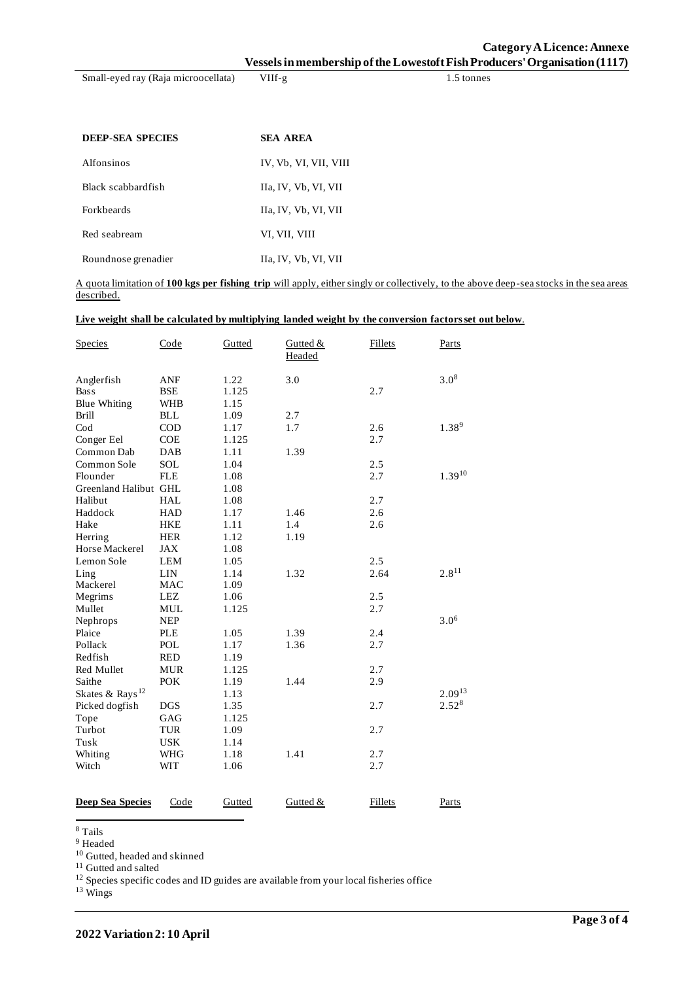**Category ALicence: Annexe Vessels in membership of the Lowestoft Fish Producers' Organisation (1117)**

Small-eyed ray (Raja microocellata) VIIf-g 1.5 tonnes

| <b>DEEP-SEA SPECIES</b> | <b>SEA AREA</b>       |
|-------------------------|-----------------------|
| Alfonsinos              | IV, Vb, VI, VII, VIII |
| Black scabbardfish      | IIa, IV, Vb, VI, VII  |
| <b>Forkheards</b>       | IIa, IV, Vb, VI, VII  |
| Red seabream            | VI, VII, VIII         |
| Roundnose grenadier     | IIa, IV, Vb, VI, VII  |

A quota limitation of **100 kgs per fishing trip** will apply, either singly or collectively, to the above deep-sea stocks in the sea areas described.

#### **Live weight shall be calculated by multiplying landed weight by the conversion factors set out below**.

| <b>Species</b>              | Code       | Gutted | Gutted &<br>Headed | <b>Fillets</b> | Parts       |
|-----------------------------|------------|--------|--------------------|----------------|-------------|
| Anglerfish                  | <b>ANF</b> | 1.22   | 3.0                |                | $3.0^{8}$   |
| <b>Bass</b>                 | <b>BSE</b> | 1.125  |                    | 2.7            |             |
| <b>Blue Whiting</b>         | <b>WHB</b> | 1.15   |                    |                |             |
| <b>Brill</b>                | <b>BLL</b> | 1.09   | 2.7                |                |             |
| $\mathrm{Cod}$              | $\rm COD$  | 1.17   | 1.7                | 2.6            | $1.38^{9}$  |
| Conger Eel                  | <b>COE</b> | 1.125  |                    | 2.7            |             |
| Common Dab                  | DAB        | 1.11   | 1.39               |                |             |
| Common Sole                 | SOL        | 1.04   |                    | 2.5            |             |
| Flounder                    | <b>FLE</b> | 1.08   |                    | 2.7            | $1.39^{10}$ |
| Greenland Halibut GHL       |            | 1.08   |                    |                |             |
| Halibut                     | <b>HAL</b> | 1.08   |                    | 2.7            |             |
| Haddock                     | <b>HAD</b> | 1.17   | 1.46               | 2.6            |             |
| Hake                        | <b>HKE</b> | 1.11   | 1.4                | 2.6            |             |
| Herring                     | <b>HER</b> | 1.12   | 1.19               |                |             |
| Horse Mackerel              | JAX        | 1.08   |                    |                |             |
| Lemon Sole                  | <b>LEM</b> | 1.05   |                    | 2.5            |             |
| Ling                        | LIN        | 1.14   | 1.32               | 2.64           | $2.8^{11}$  |
| Mackerel                    | <b>MAC</b> | 1.09   |                    |                |             |
| Megrims                     | <b>LEZ</b> | 1.06   |                    | 2.5            |             |
| Mullet                      | <b>MUL</b> | 1.125  |                    | 2.7            |             |
| Nephrops                    | <b>NEP</b> |        |                    |                | $3.0^{6}$   |
| Plaice                      | <b>PLE</b> | 1.05   | 1.39               | 2.4            |             |
| Pollack                     | POL        | 1.17   | 1.36               | 2.7            |             |
| Redfish                     | <b>RED</b> | 1.19   |                    |                |             |
| Red Mullet                  | <b>MUR</b> | 1.125  |                    | 2.7            |             |
| Saithe                      | <b>POK</b> | 1.19   | 1.44               | 2.9            |             |
| Skates & Rays <sup>12</sup> |            | 1.13   |                    |                | $2.09^{13}$ |
| Picked dogfish              | <b>DGS</b> | 1.35   |                    | 2.7            | $2.52^{8}$  |
| Tope                        | GAG        | 1.125  |                    |                |             |
| Turbot                      | <b>TUR</b> | 1.09   |                    | 2.7            |             |
| Tusk                        | <b>USK</b> | 1.14   |                    |                |             |
| Whiting                     | <b>WHG</b> | 1.18   | 1.41               | 2.7            |             |
| Witch                       | <b>WIT</b> | 1.06   |                    | 2.7            |             |
|                             |            |        |                    |                |             |
| <b>Deep Sea Species</b>     | Code       | Gutted | Gutted &           | Fillets        | Parts       |

<sup>8</sup> Tails

<sup>9</sup> Headed

<sup>10</sup> Gutted, headed and skinned

<sup>11</sup> Gutted and salted

 $12$  Species specific codes and ID guides are available from your local fisheries office

<sup>13</sup> Wings